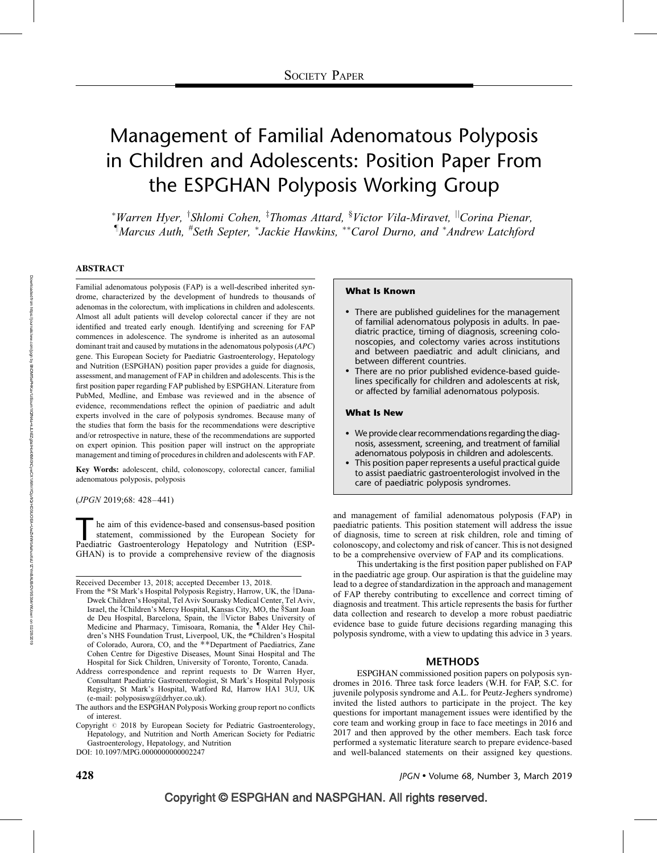# Management of Familial Adenomatous Polyposis in Children and Adolescents: Position Paper From the ESPGHAN Polyposis Working Group

\*Warren Hyer, <sup>†</sup>Shlomi Cohen, <sup>‡</sup>Thomas Attard, <sup>§</sup>Victor Vila-Miravet, <sup>||</sup>Corina Pienar, <sup>¶</sup>Marcus Auth, <sup>#</sup>Seth Septer, \*Jackie Hawkins, \*\*Carol Durno, and \*Andrew Latchford

## ABSTRACT

Familial adenomatous polyposis (FAP) is a well-described inherited syndrome, characterized by the development of hundreds to thousands of adenomas in the colorectum, with implications in children and adolescents. Almost all adult patients will develop colorectal cancer if they are not identified and treated early enough. Identifying and screening for FAP commences in adolescence. The syndrome is inherited as an autosomal dominant trait and caused by mutations in the adenomatous polyposis (APC) gene. This European Society for Paediatric Gastroenterology, Hepatology and Nutrition (ESPGHAN) position paper provides a guide for diagnosis, assessment, and management of FAP in children and adolescents. This is the first position paper regarding FAP published by ESPGHAN. Literature from PubMed, Medline, and Embase was reviewed and in the absence of evidence, recommendations reflect the opinion of paediatric and adult experts involved in the care of polyposis syndromes. Because many of the studies that form the basis for the recommendations were descriptive and/or retrospective in nature, these of the recommendations are supported on expert opinion. This position paper will instruct on the appropriate management and timing of procedures in children and adolescents with FAP.

Key Words: adolescent, child, colonoscopy, colorectal cancer, familial adenomatous polyposis, polyposis

(JPGN 2019;68: 428–441)

The aim of this evidence-based and consensus-based position statement, commissioned by the European Society for Paediatric Gastroenterology Hepatology and Nutrition (ESPstatement, commissioned by the European Society for GHAN) is to provide a comprehensive review of the diagnosis

Received December 13, 2018; accepted December 13, 2018.

## What Is Known

- There are published guidelines for the management of familial adenomatous polyposis in adults. In paediatric practice, timing of diagnosis, screening colonoscopies, and colectomy varies across institutions and between paediatric and adult clinicians, and between different countries.
- There are no prior published evidence-based guidelines specifically for children and adolescents at risk, or affected by familial adenomatous polyposis.

#### What Is New

- We provide clear recommendations regarding the diagnosis, assessment, screening, and treatment of familial adenomatous polyposis in children and adolescents.
- This position paper represents a useful practical guide to assist paediatric gastroenterologist involved in the care of paediatric polyposis syndromes.

and management of familial adenomatous polyposis (FAP) in paediatric patients. This position statement will address the issue of diagnosis, time to screen at risk children, role and timing of colonoscopy, and colectomy and risk of cancer. This is not designed to be a comprehensive overview of FAP and its complications.

This undertaking is the first position paper published on FAP in the paediatric age group. Our aspiration is that the guideline may lead to a degree of standardization in the approach and management of FAP thereby contributing to excellence and correct timing of diagnosis and treatment. This article represents the basis for further data collection and research to develop a more robust paediatric evidence base to guide future decisions regarding managing this polyposis syndrome, with a view to updating this advice in 3 years.

## METHODS

ESPGHAN commissioned position papers on polyposis syndromes in 2016. Three task force leaders (W.H. for FAP, S.C. for juvenile polyposis syndrome and A.L. for Peutz-Jeghers syndrome) invited the listed authors to participate in the project. The key questions for important management issues were identified by the core team and working group in face to face meetings in 2016 and 2017 and then approved by the other members. Each task force performed a systematic literature search to prepare evidence-based and well-balanced statements on their assigned key questions.

From the \*St Mark's Hospital Polyposis Registry, Harrow, UK, the <sup>†</sup>Dana-Dwek Children's Hospital, Tel Aviv Sourasky Medical Center, Tel Aviv, Israel, the ‡Children's Mercy Hospital, Kansas City, MO, the §Sant Joan de Deu Hospital, Barcelona, Spain, the *Victor Babes University of* Medicine and Pharmacy, Timisoara, Romania, the *Alder Hey Chil*dren's NHS Foundation Trust, Liverpool, UK, the #Children's Hospital of Colorado, Aurora, CO, and the \*\*Department of Paediatrics, Zane Cohen Centre for Digestive Diseases, Mount Sinai Hospital and The Hospital for Sick Children, University of Toronto, Toronto, Canada.

Address correspondence and reprint requests to Dr Warren Hyer, Consultant Paediatric Gastroenterologist, St Mark's Hospital Polyposis Registry, St Mark's Hospital, Watford Rd, Harrow HA1 3UJ, UK (e-mail: polyposiswg@drhyer.co.uk).

The authors and the ESPGHAN Polyposis Working group report no conflicts of interest.

Copyright  $\odot$  2018 by European Society for Pediatric Gastroenterology, Hepatology, and Nutrition and North American Society for Pediatric Gastroenterology, Hepatology, and Nutrition

DOI: [10.1097/MPG.0000000000002247](http://dx.doi.org/10.1097/MPG.0000000000002247)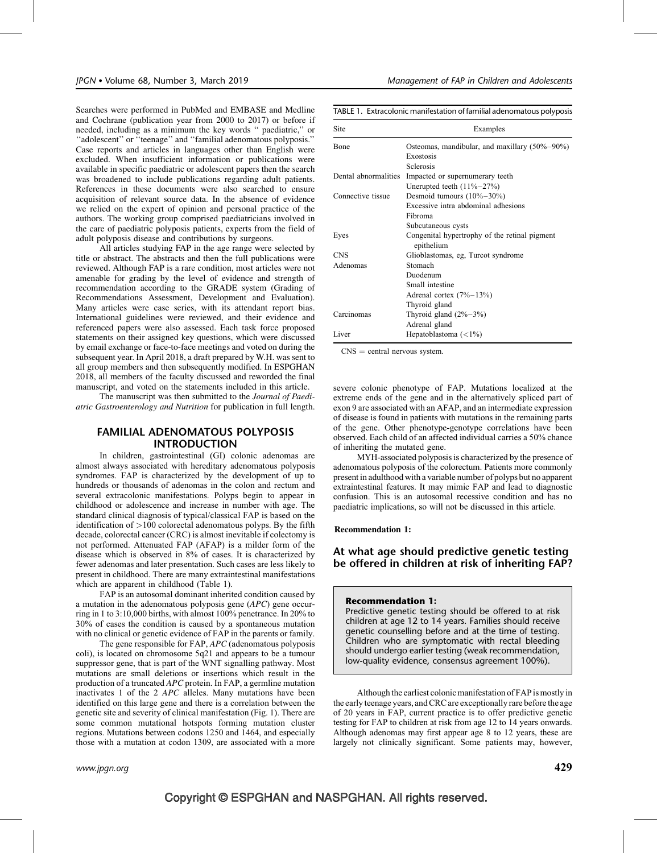Searches were performed in PubMed and EMBASE and Medline and Cochrane (publication year from 2000 to 2017) or before if needed, including as a minimum the key words '' paediatric,'' or ''adolescent'' or ''teenage'' and ''familial adenomatous polyposis.'' Case reports and articles in languages other than English were excluded. When insufficient information or publications were available in specific paediatric or adolescent papers then the search was broadened to include publications regarding adult patients. References in these documents were also searched to ensure acquisition of relevant source data. In the absence of evidence we relied on the expert of opinion and personal practice of the authors. The working group comprised paediatricians involved in the care of paediatric polyposis patients, experts from the field of adult polyposis disease and contributions by surgeons.

All articles studying FAP in the age range were selected by title or abstract. The abstracts and then the full publications were reviewed. Although FAP is a rare condition, most articles were not amenable for grading by the level of evidence and strength of recommendation according to the GRADE system (Grading of Recommendations Assessment, Development and Evaluation). Many articles were case series, with its attendant report bias. International guidelines were reviewed, and their evidence and referenced papers were also assessed. Each task force proposed statements on their assigned key questions, which were discussed by email exchange or face-to-face meetings and voted on during the subsequent year. In April 2018, a draft prepared by W.H. was sent to all group members and then subsequently modified. In ESPGHAN 2018, all members of the faculty discussed and reworded the final manuscript, and voted on the statements included in this article.

The manuscript was then submitted to the Journal of Paediatric Gastroenterology and Nutrition for publication in full length.

# FAMILIAL ADENOMATOUS POLYPOSIS INTRODUCTION

In children, gastrointestinal (GI) colonic adenomas are almost always associated with hereditary adenomatous polyposis syndromes. FAP is characterized by the development of up to hundreds or thousands of adenomas in the colon and rectum and several extracolonic manifestations. Polyps begin to appear in childhood or adolescence and increase in number with age. The standard clinical diagnosis of typical/classical FAP is based on the identification of  $>100$  colorectal adenomatous polyps. By the fifth decade, colorectal cancer (CRC) is almost inevitable if colectomy is not performed. Attenuated FAP (AFAP) is a milder form of the disease which is observed in 8% of cases. It is characterized by fewer adenomas and later presentation. Such cases are less likely to present in childhood. There are many extraintestinal manifestations which are apparent in childhood (Table 1).

FAP is an autosomal dominant inherited condition caused by a mutation in the adenomatous polyposis gene (APC) gene occurring in 1 to 3:10,000 births, with almost 100% penetrance. In 20% to 30% of cases the condition is caused by a spontaneous mutation with no clinical or genetic evidence of FAP in the parents or family.

The gene responsible for FAP, APC (adenomatous polyposis coli), is located on chromosome 5q21 and appears to be a tumour suppressor gene, that is part of the WNT signalling pathway. Most mutations are small deletions or insertions which result in the production of a truncated APC protein. In FAP, a germline mutation inactivates 1 of the 2 APC alleles. Many mutations have been identified on this large gene and there is a correlation between the genetic site and severity of clinical manifestation (Fig. 1). There are some common mutational hotspots forming mutation cluster regions. Mutations between codons 1250 and 1464, and especially those with a mutation at codon 1309, are associated with a more

TABLE 1. Extracolonic manifestation of familial adenomatous polyposis

| Site                 | Examples                                                    |
|----------------------|-------------------------------------------------------------|
| Bone                 | Osteomas, mandibular, and maxillary $(50\% - 90\%)$         |
|                      | Exostosis                                                   |
|                      | Sclerosis                                                   |
| Dental abnormalities | Impacted or supernumerary teeth                             |
|                      | Unerupted teeth $(11\%-27\%)$                               |
| Connective tissue    | Desmoid tumours $(10\% - 30\%)$                             |
|                      | Excessive intra abdominal adhesions                         |
|                      | Fibroma                                                     |
|                      | Subcutaneous cysts                                          |
| Eyes                 | Congenital hypertrophy of the retinal pigment<br>epithelium |
| <b>CNS</b>           | Glioblastomas, eg, Turcot syndrome                          |
| Adenomas             | Stomach                                                     |
|                      | Duodenum                                                    |
|                      | Small intestine                                             |
|                      | Adrenal cortex $(7% - 13%)$                                 |
|                      | Thyroid gland                                               |
| Carcinomas           | Thyroid gland $(2\% - 3\%)$                                 |
|                      | Adrenal gland                                               |
| Liver                | Hepatoblastoma $(<1\%)$                                     |

 $CNS =$  central nervous system.

severe colonic phenotype of FAP. Mutations localized at the extreme ends of the gene and in the alternatively spliced part of exon 9 are associated with an AFAP, and an intermediate expression of disease is found in patients with mutations in the remaining parts of the gene. Other phenotype-genotype correlations have been observed. Each child of an affected individual carries a 50% chance of inheriting the mutated gene.

MYH-associated polyposis is characterized by the presence of adenomatous polyposis of the colorectum. Patients more commonly present in adulthood with a variable number of polyps but no apparent extraintestinal features. It may mimic FAP and lead to diagnostic confusion. This is an autosomal recessive condition and has no paediatric implications, so will not be discussed in this article.

#### Recommendation 1:

# At what age should predictive genetic testing be offered in children at risk of inheriting FAP?

#### Recommendation 1:

Predictive genetic testing should be offered to at risk children at age 12 to 14 years. Families should receive genetic counselling before and at the time of testing. Children who are symptomatic with rectal bleeding should undergo earlier testing (weak recommendation, low-quality evidence, consensus agreement 100%).

Although the earliest colonic manifestation of FAP is mostly in the early teenage years, and CRC are exceptionally rare before the age of 20 years in FAP, current practice is to offer predictive genetic testing for FAP to children at risk from age 12 to 14 years onwards. Although adenomas may first appear age 8 to 12 years, these are largely not clinically significant. Some patients may, however,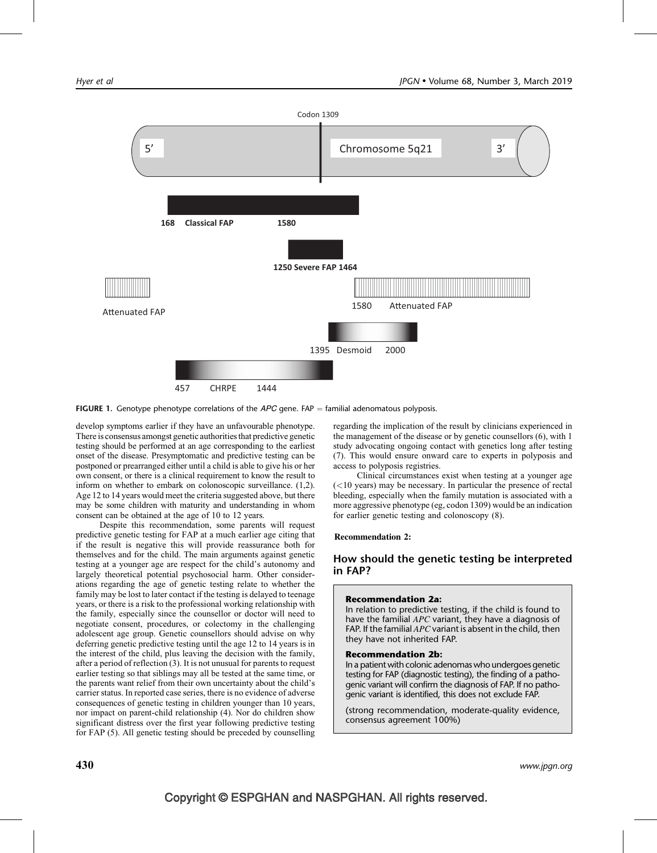

FIGURE 1. Genotype phenotype correlations of the  $APC$  gene. FAP = familial adenomatous polyposis.

develop symptoms earlier if they have an unfavourable phenotype. There is consensus amongst genetic authorities that predictive genetic testing should be performed at an age corresponding to the earliest onset of the disease. Presymptomatic and predictive testing can be postponed or prearranged either until a child is able to give his or her own consent, or there is a clinical requirement to know the result to inform on whether to embark on colonoscopic surveillance. (1,2). Age 12 to 14 years would meet the criteria suggested above, but there may be some children with maturity and understanding in whom consent can be obtained at the age of 10 to 12 years.

Despite this recommendation, some parents will request predictive genetic testing for FAP at a much earlier age citing that if the result is negative this will provide reassurance both for themselves and for the child. The main arguments against genetic testing at a younger age are respect for the child's autonomy and largely theoretical potential psychosocial harm. Other considerations regarding the age of genetic testing relate to whether the family may be lost to later contact if the testing is delayed to teenage years, or there is a risk to the professional working relationship with the family, especially since the counsellor or doctor will need to negotiate consent, procedures, or colectomy in the challenging adolescent age group. Genetic counsellors should advise on why deferring genetic predictive testing until the age 12 to 14 years is in the interest of the child, plus leaving the decision with the family, after a period of reflection (3). It is not unusual for parents to request earlier testing so that siblings may all be tested at the same time, or the parents want relief from their own uncertainty about the child's carrier status. In reported case series, there is no evidence of adverse consequences of genetic testing in children younger than 10 years, nor impact on parent-child relationship (4). Nor do children show significant distress over the first year following predictive testing for FAP (5). All genetic testing should be preceded by counselling regarding the implication of the result by clinicians experienced in the management of the disease or by genetic counsellors (6), with 1 study advocating ongoing contact with genetics long after testing (7). This would ensure onward care to experts in polyposis and access to polyposis registries.

Clinical circumstances exist when testing at a younger age  $(<10$  years) may be necessary. In particular the presence of rectal bleeding, especially when the family mutation is associated with a more aggressive phenotype (eg, codon 1309) would be an indication for earlier genetic testing and colonoscopy (8).

#### Recommendation 2:

# How should the genetic testing be interpreted in FAP?

#### Recommendation 2a:

In relation to predictive testing, if the child is found to have the familial APC variant, they have a diagnosis of FAP. If the familial APC variant is absent in the child, then they have not inherited FAP.

#### Recommendation 2b:

In a patient with colonic adenomas who undergoes genetic testing for FAP (diagnostic testing), the finding of a pathogenic variant will confirm the diagnosis of FAP. If no pathogenic variant is identified, this does not exclude FAP.

(strong recommendation, moderate-quality evidence, consensus agreement 100%)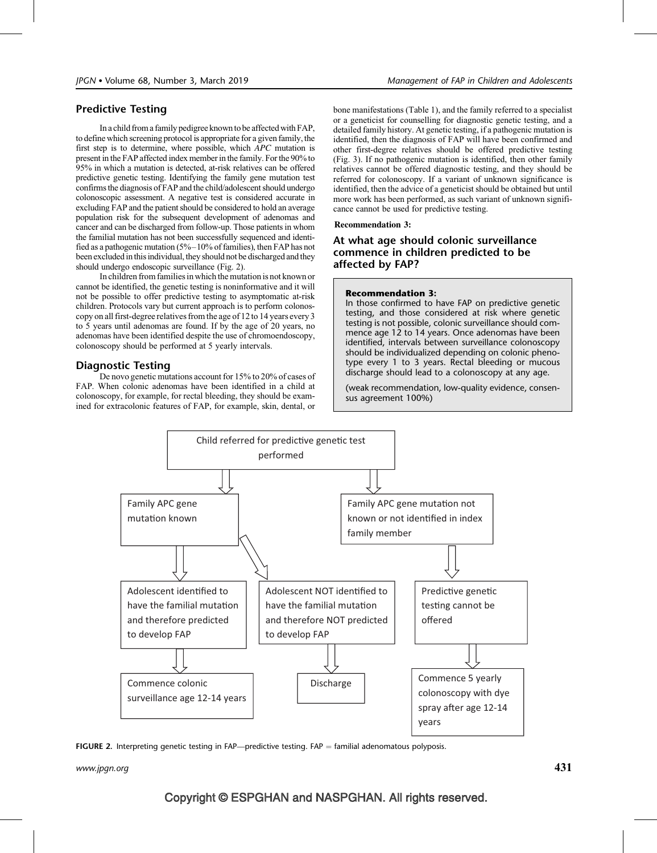# Predictive Testing

In a child from a family pedigree known to be affected with FAP, to define which screening protocol is appropriate for a given family, the first step is to determine, where possible, which APC mutation is present in the FAP affected index member in the family. For the 90% to 95% in which a mutation is detected, at-risk relatives can be offered predictive genetic testing. Identifying the family gene mutation test confirms the diagnosis of FAP and the child/adolescent should undergo colonoscopic assessment. A negative test is considered accurate in excluding FAP and the patient should be considered to hold an average population risk for the subsequent development of adenomas and cancer and can be discharged from follow-up. Those patients in whom the familial mutation has not been successfully sequenced and identified as a pathogenic mutation (5%–10% of families), then FAP has not been excluded in this individual, they should not be discharged and they should undergo endoscopic surveillance (Fig. 2).

In children from families in which the mutation is not known or cannot be identified, the genetic testing is noninformative and it will not be possible to offer predictive testing to asymptomatic at-risk children. Protocols vary but current approach is to perform colonoscopy on all first-degree relatives from the age of 12 to 14 years every 3 to 5 years until adenomas are found. If by the age of 20 years, no adenomas have been identified despite the use of chromoendoscopy, colonoscopy should be performed at 5 yearly intervals.

# Diagnostic Testing

De novo genetic mutations account for 15% to 20% of cases of FAP. When colonic adenomas have been identified in a child at colonoscopy, for example, for rectal bleeding, they should be examined for extracolonic features of FAP, for example, skin, dental, or bone manifestations (Table 1), and the family referred to a specialist or a geneticist for counselling for diagnostic genetic testing, and a detailed family history. At genetic testing, if a pathogenic mutation is identified, then the diagnosis of FAP will have been confirmed and other first-degree relatives should be offered predictive testing (Fig. 3). If no pathogenic mutation is identified, then other family relatives cannot be offered diagnostic testing, and they should be referred for colonoscopy. If a variant of unknown significance is identified, then the advice of a geneticist should be obtained but until more work has been performed, as such variant of unknown significance cannot be used for predictive testing.

## Recommendation 3:

At what age should colonic surveillance commence in children predicted to be affected by FAP?

## Recommendation 3:

In those confirmed to have FAP on predictive genetic testing, and those considered at risk where genetic testing is not possible, colonic surveillance should commence age 12 to 14 years. Once adenomas have been identified, intervals between surveillance colonoscopy should be individualized depending on colonic phenotype every 1 to 3 years. Rectal bleeding or mucous discharge should lead to a colonoscopy at any age.

(weak recommendation, low-quality evidence, consensus agreement 100%)



FIGURE 2. Interpreting genetic testing in FAP—predictive testing. FAP = familial adenomatous polyposis.

www.jpgn.org  $\hspace{1.6cm}431$ 

# Copyright © ESPGHAN and NASPGHAN. All rights reserved.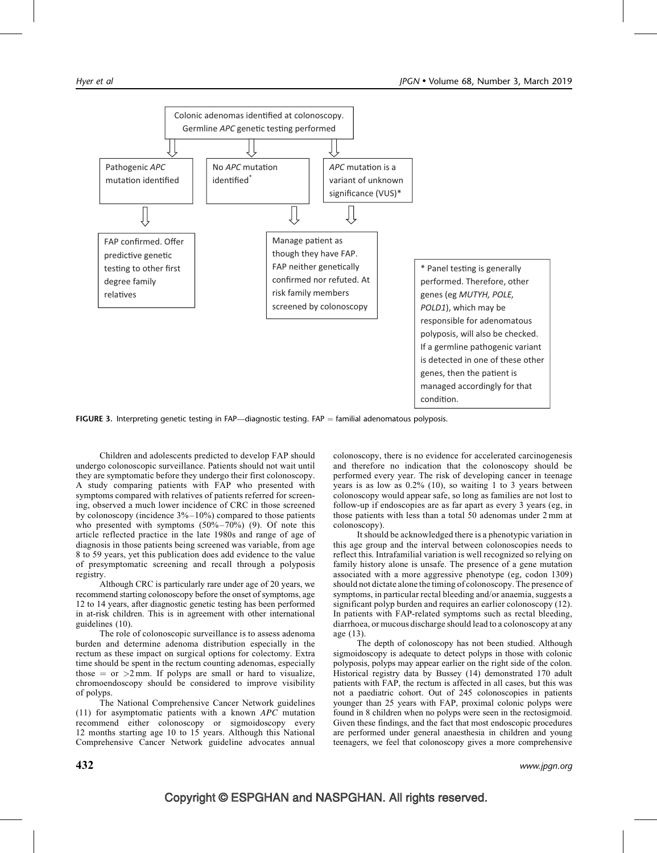

FIGURE 3. Interpreting genetic testing in FAP—diagnostic testing. FAP = familial adenomatous polyposis.

Children and adolescents predicted to develop FAP should undergo colonoscopic surveillance. Patients should not wait until they are symptomatic before they undergo their first colonoscopy. A study comparing patients with FAP who presented with symptoms compared with relatives of patients referred for screening, observed a much lower incidence of CRC in those screened by colonoscopy (incidence  $3\% - 10\%$ ) compared to those patients who presented with symptoms  $(50\%-70\%)$  (9). Of note this article reflected practice in the late 1980s and range of age of diagnosis in those patients being screened was variable, from age 8 to 59 years, yet this publication does add evidence to the value of presymptomatic screening and recall through a polyposis registry.

Although CRC is particularly rare under age of 20 years, we recommend starting colonoscopy before the onset of symptoms, age 12 to 14 years, after diagnostic genetic testing has been performed in at-risk children. This is in agreement with other international guidelines (10).

The role of colonoscopic surveillance is to assess adenoma burden and determine adenoma distribution especially in the rectum as these impact on surgical options for colectomy. Extra time should be spent in the rectum counting adenomas, especially those  $=$  or  $>2$  mm. If polyps are small or hard to visualize, chromoendoscopy should be considered to improve visibility of polyps.

The National Comprehensive Cancer Network guidelines (11) for asymptomatic patients with a known APC mutation recommend either colonoscopy or sigmoidoscopy every 12 months starting age 10 to 15 years. Although this National Comprehensive Cancer Network guideline advocates annual

colonoscopy, there is no evidence for accelerated carcinogenesis and therefore no indication that the colonoscopy should be performed every year. The risk of developing cancer in teenage years is as low as 0.2% (10), so waiting 1 to 3 years between colonoscopy would appear safe, so long as families are not lost to follow-up if endoscopies are as far apart as every 3 years (eg, in those patients with less than a total 50 adenomas under 2 mm at colonoscopy).

It should be acknowledged there is a phenotypic variation in this age group and the interval between colonoscopies needs to reflect this. Intrafamilial variation is well recognized so relying on family history alone is unsafe. The presence of a gene mutation associated with a more aggressive phenotype (eg, codon 1309) should not dictate alone the timing of colonoscopy. The presence of symptoms, in particular rectal bleeding and/or anaemia, suggests a significant polyp burden and requires an earlier colonoscopy (12). In patients with FAP-related symptoms such as rectal bleeding, diarrhoea, or mucous discharge should lead to a colonoscopy at any age (13).

The depth of colonoscopy has not been studied. Although sigmoidoscopy is adequate to detect polyps in those with colonic polyposis, polyps may appear earlier on the right side of the colon. Historical registry data by Bussey (14) demonstrated 170 adult patients with FAP, the rectum is affected in all cases, but this was not a paediatric cohort. Out of 245 colonoscopies in patients younger than 25 years with FAP, proximal colonic polyps were found in 8 children when no polyps were seen in the rectosigmoid. Given these findings, and the fact that most endoscopic procedures are performed under general anaesthesia in children and young teenagers, we feel that colonoscopy gives a more comprehensive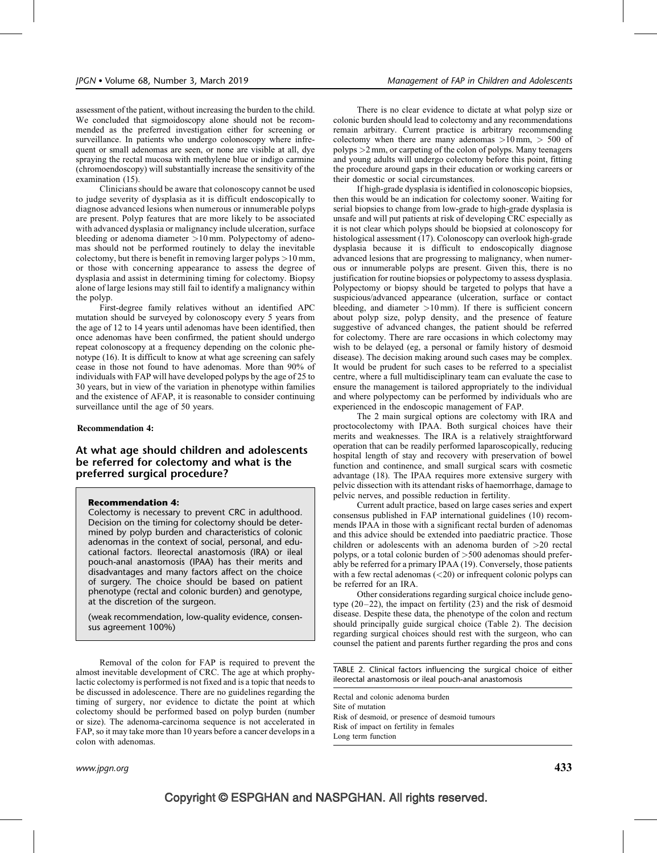assessment of the patient, without increasing the burden to the child. We concluded that sigmoidoscopy alone should not be recommended as the preferred investigation either for screening or surveillance. In patients who undergo colonoscopy where infrequent or small adenomas are seen, or none are visible at all, dye spraying the rectal mucosa with methylene blue or indigo carmine (chromoendoscopy) will substantially increase the sensitivity of the examination (15).

Clinicians should be aware that colonoscopy cannot be used to judge severity of dysplasia as it is difficult endoscopically to diagnose advanced lesions when numerous or innumerable polyps are present. Polyp features that are more likely to be associated with advanced dysplasia or malignancy include ulceration, surface bleeding or adenoma diameter >10 mm. Polypectomy of adenomas should not be performed routinely to delay the inevitable colectomy, but there is benefit in removing larger polyps >10 mm, or those with concerning appearance to assess the degree of dysplasia and assist in determining timing for colectomy. Biopsy alone of large lesions may still fail to identify a malignancy within the polyp.

First-degree family relatives without an identified APC mutation should be surveyed by colonoscopy every 5 years from the age of 12 to 14 years until adenomas have been identified, then once adenomas have been confirmed, the patient should undergo repeat colonoscopy at a frequency depending on the colonic phenotype (16). It is difficult to know at what age screening can safely cease in those not found to have adenomas. More than 90% of individuals with FAP will have developed polyps by the age of 25 to 30 years, but in view of the variation in phenotype within families and the existence of AFAP, it is reasonable to consider continuing surveillance until the age of 50 years.

## Recommendation 4:

# At what age should children and adolescents be referred for colectomy and what is the preferred surgical procedure?

## Recommendation 4:

Colectomy is necessary to prevent CRC in adulthood. Decision on the timing for colectomy should be determined by polyp burden and characteristics of colonic adenomas in the context of social, personal, and educational factors. Ileorectal anastomosis (IRA) or ileal pouch-anal anastomosis (IPAA) has their merits and disadvantages and many factors affect on the choice of surgery. The choice should be based on patient phenotype (rectal and colonic burden) and genotype, at the discretion of the surgeon.

(weak recommendation, low-quality evidence, consensus agreement 100%)

Removal of the colon for FAP is required to prevent the almost inevitable development of CRC. The age at which prophylactic colectomy is performed is not fixed and is a topic that needs to be discussed in adolescence. There are no guidelines regarding the timing of surgery, nor evidence to dictate the point at which colectomy should be performed based on polyp burden (number or size). The adenoma-carcinoma sequence is not accelerated in FAP, so it may take more than 10 years before a cancer develops in a colon with adenomas.

There is no clear evidence to dictate at what polyp size or colonic burden should lead to colectomy and any recommendations remain arbitrary. Current practice is arbitrary recommending colectomy when there are many adenomas  $>10 \text{ mm}$ ,  $> 500 \text{ of}$ polyps >2 mm, or carpeting of the colon of polyps. Many teenagers and young adults will undergo colectomy before this point, fitting the procedure around gaps in their education or working careers or their domestic or social circumstances.

If high-grade dysplasia is identified in colonoscopic biopsies, then this would be an indication for colectomy sooner. Waiting for serial biopsies to change from low-grade to high-grade dysplasia is unsafe and will put patients at risk of developing CRC especially as it is not clear which polyps should be biopsied at colonoscopy for histological assessment (17). Colonoscopy can overlook high-grade dysplasia because it is difficult to endoscopically diagnose advanced lesions that are progressing to malignancy, when numerous or innumerable polyps are present. Given this, there is no justification for routine biopsies or polypectomy to assess dysplasia. Polypectomy or biopsy should be targeted to polyps that have a suspicious/advanced appearance (ulceration, surface or contact bleeding, and diameter  $>10$  mm). If there is sufficient concern about polyp size, polyp density, and the presence of feature suggestive of advanced changes, the patient should be referred for colectomy. There are rare occasions in which colectomy may wish to be delayed (eg, a personal or family history of desmoid disease). The decision making around such cases may be complex. It would be prudent for such cases to be referred to a specialist centre, where a full multidisciplinary team can evaluate the case to ensure the management is tailored appropriately to the individual and where polypectomy can be performed by individuals who are experienced in the endoscopic management of FAP.

The 2 main surgical options are colectomy with IRA and proctocolectomy with IPAA. Both surgical choices have their merits and weaknesses. The IRA is a relatively straightforward operation that can be readily performed laparoscopically, reducing hospital length of stay and recovery with preservation of bowel function and continence, and small surgical scars with cosmetic advantage (18). The IPAA requires more extensive surgery with pelvic dissection with its attendant risks of haemorrhage, damage to pelvic nerves, and possible reduction in fertility.

Current adult practice, based on large cases series and expert consensus published in FAP international guidelines (10) recommends IPAA in those with a significant rectal burden of adenomas and this advice should be extended into paediatric practice. Those children or adolescents with an adenoma burden of >20 rectal polyps, or a total colonic burden of >500 adenomas should preferably be referred for a primary IPAA (19). Conversely, those patients with a few rectal adenomas (<20) or infrequent colonic polyps can be referred for an IRA.

Other considerations regarding surgical choice include genotype (20–22), the impact on fertility (23) and the risk of desmoid disease. Despite these data, the phenotype of the colon and rectum should principally guide surgical choice (Table 2). The decision regarding surgical choices should rest with the surgeon, who can counsel the patient and parents further regarding the pros and cons

TABLE 2. Clinical factors influencing the surgical choice of either ileorectal anastomosis or ileal pouch-anal anastomosis

Rectal and colonic adenoma burden Site of mutation Risk of desmoid, or presence of desmoid tumours Risk of impact on fertility in females Long term function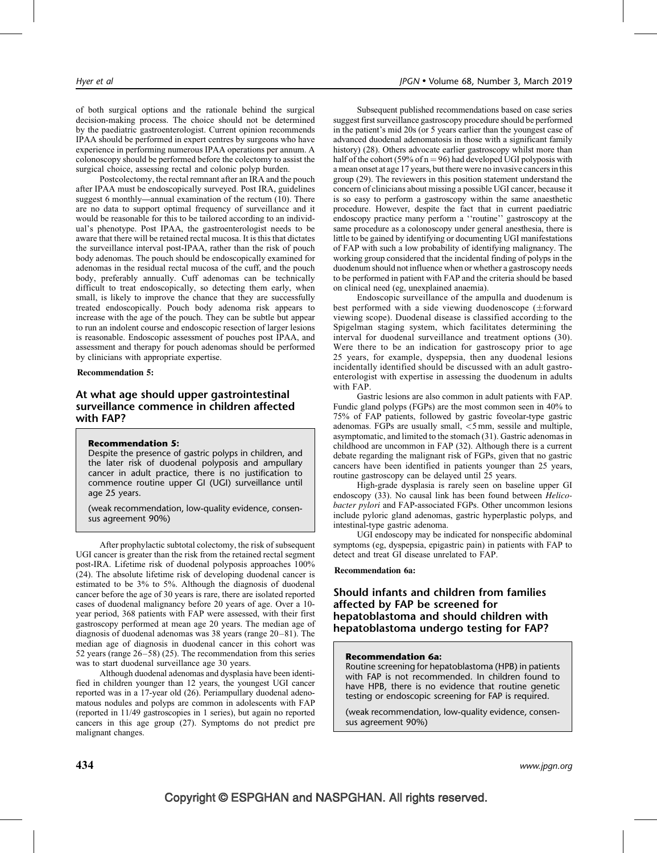of both surgical options and the rationale behind the surgical decision-making process. The choice should not be determined by the paediatric gastroenterologist. Current opinion recommends IPAA should be performed in expert centres by surgeons who have experience in performing numerous IPAA operations per annum. A colonoscopy should be performed before the colectomy to assist the surgical choice, assessing rectal and colonic polyp burden.

Postcolectomy, the rectal remnant after an IRA and the pouch after IPAA must be endoscopically surveyed. Post IRA, guidelines suggest 6 monthly—annual examination of the rectum (10). There are no data to support optimal frequency of surveillance and it would be reasonable for this to be tailored according to an individual's phenotype. Post IPAA, the gastroenterologist needs to be aware that there will be retained rectal mucosa. It is this that dictates the surveillance interval post-IPAA, rather than the risk of pouch body adenomas. The pouch should be endoscopically examined for adenomas in the residual rectal mucosa of the cuff, and the pouch body, preferably annually. Cuff adenomas can be technically difficult to treat endoscopically, so detecting them early, when small, is likely to improve the chance that they are successfully treated endoscopically. Pouch body adenoma risk appears to increase with the age of the pouch. They can be subtle but appear to run an indolent course and endoscopic resection of larger lesions is reasonable. Endoscopic assessment of pouches post IPAA, and assessment and therapy for pouch adenomas should be performed by clinicians with appropriate expertise.

#### Recommendation 5:

# At what age should upper gastrointestinal surveillance commence in children affected with FAP?

#### Recommendation 5:

Despite the presence of gastric polyps in children, and the later risk of duodenal polyposis and ampullary cancer in adult practice, there is no justification to commence routine upper GI (UGI) surveillance until age 25 years.

(weak recommendation, low-quality evidence, consensus agreement 90%)

After prophylactic subtotal colectomy, the risk of subsequent UGI cancer is greater than the risk from the retained rectal segment post-IRA. Lifetime risk of duodenal polyposis approaches 100% (24). The absolute lifetime risk of developing duodenal cancer is estimated to be 3% to 5%. Although the diagnosis of duodenal cancer before the age of 30 years is rare, there are isolated reported cases of duodenal malignancy before 20 years of age. Over a 10 year period, 368 patients with FAP were assessed, with their first gastroscopy performed at mean age 20 years. The median age of diagnosis of duodenal adenomas was 38 years (range 20–81). The median age of diagnosis in duodenal cancer in this cohort was 52 years (range 26–58) (25). The recommendation from this series was to start duodenal surveillance age 30 years.

Although duodenal adenomas and dysplasia have been identified in children younger than 12 years, the youngest UGI cancer reported was in a 17-year old (26). Periampullary duodenal adenomatous nodules and polyps are common in adolescents with FAP (reported in 11/49 gastroscopies in 1 series), but again no reported cancers in this age group (27). Symptoms do not predict pre malignant changes.

Subsequent published recommendations based on case series suggest first surveillance gastroscopy procedure should be performed in the patient's mid 20s (or 5 years earlier than the youngest case of advanced duodenal adenomatosis in those with a significant family history) (28). Others advocate earlier gastroscopy whilst more than half of the cohort (59% of  $n = 96$ ) had developed UGI polyposis with a mean onset at age 17 years, but there were no invasive cancers in this group (29). The reviewers in this position statement understand the concern of clinicians about missing a possible UGI cancer, because it is so easy to perform a gastroscopy within the same anaesthetic procedure. However, despite the fact that in current paediatric endoscopy practice many perform a ''routine'' gastroscopy at the same procedure as a colonoscopy under general anesthesia, there is little to be gained by identifying or documenting UGI manifestations of FAP with such a low probability of identifying malignancy. The working group considered that the incidental finding of polyps in the duodenum should not influence when or whether a gastroscopy needs to be performed in patient with FAP and the criteria should be based on clinical need (eg, unexplained anaemia).

Endoscopic surveillance of the ampulla and duodenum is best performed with a side viewing duodenoscope  $(\pm$ forward viewing scope). Duodenal disease is classified according to the Spigelman staging system, which facilitates determining the interval for duodenal surveillance and treatment options (30). Were there to be an indication for gastroscopy prior to age 25 years, for example, dyspepsia, then any duodenal lesions incidentally identified should be discussed with an adult gastroenterologist with expertise in assessing the duodenum in adults with FAP.

Gastric lesions are also common in adult patients with FAP. Fundic gland polyps (FGPs) are the most common seen in 40% to 75% of FAP patients, followed by gastric foveolar-type gastric adenomas. FGPs are usually small, <5 mm, sessile and multiple, asymptomatic, and limited to the stomach (31). Gastric adenomas in childhood are uncommon in FAP (32). Although there is a current debate regarding the malignant risk of FGPs, given that no gastric cancers have been identified in patients younger than 25 years, routine gastroscopy can be delayed until 25 years.

High-grade dysplasia is rarely seen on baseline upper GI endoscopy (33). No causal link has been found between *Helico*bacter pylori and FAP-associated FGPs. Other uncommon lesions include pyloric gland adenomas, gastric hyperplastic polyps, and intestinal-type gastric adenoma.

UGI endoscopy may be indicated for nonspecific abdominal symptoms (eg, dyspepsia, epigastric pain) in patients with FAP to detect and treat GI disease unrelated to FAP.

Recommendation 6a:

# Should infants and children from families affected by FAP be screened for hepatoblastoma and should children with hepatoblastoma undergo testing for FAP?

#### Recommendation 6a:

Routine screening for hepatoblastoma (HPB) in patients with FAP is not recommended. In children found to have HPB, there is no evidence that routine genetic testing or endoscopic screening for FAP is required.

(weak recommendation, low-quality evidence, consensus agreement 90%)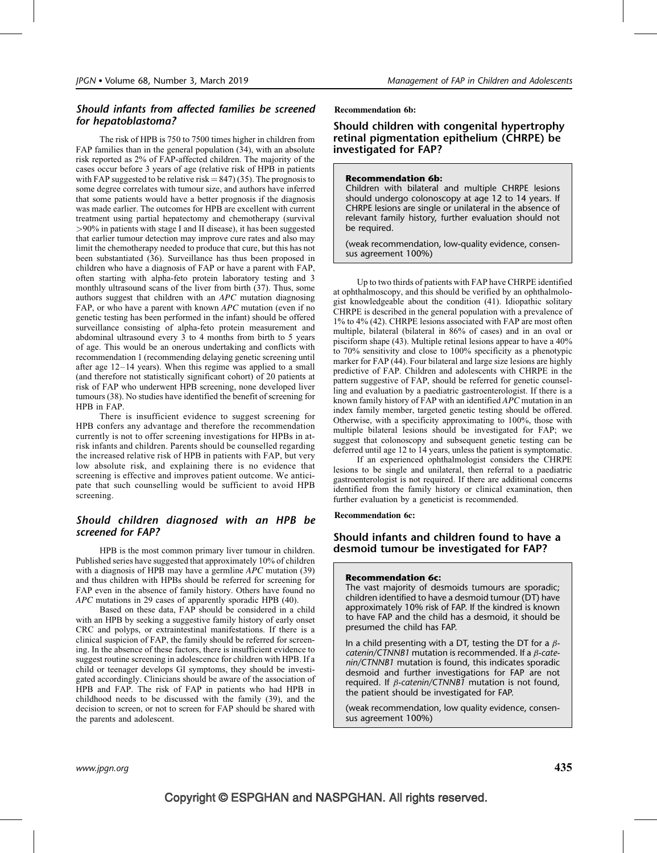# Should infants from affected families be screened for hepatoblastoma?

The risk of HPB is 750 to 7500 times higher in children from FAP families than in the general population (34), with an absolute risk reported as 2% of FAP-affected children. The majority of the cases occur before 3 years of age (relative risk of HPB in patients with FAP suggested to be relative risk  $= 847$  (35). The prognosis to some degree correlates with tumour size, and authors have inferred that some patients would have a better prognosis if the diagnosis was made earlier. The outcomes for HPB are excellent with current treatment using partial hepatectomy and chemotherapy (survival >90% in patients with stage I and II disease), it has been suggested that earlier tumour detection may improve cure rates and also may limit the chemotherapy needed to produce that cure, but this has not been substantiated (36). Surveillance has thus been proposed in children who have a diagnosis of FAP or have a parent with FAP, often starting with alpha-feto protein laboratory testing and 3 monthly ultrasound scans of the liver from birth (37). Thus, some authors suggest that children with an APC mutation diagnosing FAP, or who have a parent with known APC mutation (even if no genetic testing has been performed in the infant) should be offered surveillance consisting of alpha-feto protein measurement and abdominal ultrasound every 3 to 4 months from birth to 5 years of age. This would be an onerous undertaking and conflicts with recommendation 1 (recommending delaying genetic screening until after age 12–14 years). When this regime was applied to a small (and therefore not statistically significant cohort) of 20 patients at risk of FAP who underwent HPB screening, none developed liver tumours (38). No studies have identified the benefit of screening for HPB in FAP.

There is insufficient evidence to suggest screening for HPB confers any advantage and therefore the recommendation currently is not to offer screening investigations for HPBs in atrisk infants and children. Parents should be counselled regarding the increased relative risk of HPB in patients with FAP, but very low absolute risk, and explaining there is no evidence that screening is effective and improves patient outcome. We anticipate that such counselling would be sufficient to avoid HPB screening.

# Should children diagnosed with an HPB be screened for FAP?

HPB is the most common primary liver tumour in children. Published series have suggested that approximately 10% of children with a diagnosis of HPB may have a germline *APC* mutation (39) and thus children with HPBs should be referred for screening for FAP even in the absence of family history. Others have found no APC mutations in 29 cases of apparently sporadic HPB (40).

Based on these data, FAP should be considered in a child with an HPB by seeking a suggestive family history of early onset CRC and polyps, or extraintestinal manifestations. If there is a clinical suspicion of FAP, the family should be referred for screening. In the absence of these factors, there is insufficient evidence to suggest routine screening in adolescence for children with HPB. If a child or teenager develops GI symptoms, they should be investigated accordingly. Clinicians should be aware of the association of HPB and FAP. The risk of FAP in patients who had HPB in childhood needs to be discussed with the family (39), and the decision to screen, or not to screen for FAP should be shared with the parents and adolescent.

Recommendation 6b:

Should children with congenital hypertrophy retinal pigmentation epithelium (CHRPE) be investigated for FAP?

# Recommendation 6b:

Children with bilateral and multiple CHRPE lesions should undergo colonoscopy at age 12 to 14 years. If CHRPE lesions are single or unilateral in the absence of relevant family history, further evaluation should not be required.

(weak recommendation, low-quality evidence, consensus agreement 100%)

Up to two thirds of patients with FAP have CHRPE identified at ophthalmoscopy, and this should be verified by an ophthalmologist knowledgeable about the condition (41). Idiopathic solitary CHRPE is described in the general population with a prevalence of 1% to 4% (42). CHRPE lesions associated with FAP are most often multiple, bilateral (bilateral in 86% of cases) and in an oval or pisciform shape (43). Multiple retinal lesions appear to have a 40% to 70% sensitivity and close to 100% specificity as a phenotypic marker for FAP (44). Four bilateral and large size lesions are highly predictive of FAP. Children and adolescents with CHRPE in the pattern suggestive of FAP, should be referred for genetic counselling and evaluation by a paediatric gastroenterologist. If there is a known family history of FAP with an identified APC mutation in an index family member, targeted genetic testing should be offered. Otherwise, with a specificity approximating to 100%, those with multiple bilateral lesions should be investigated for FAP; we suggest that colonoscopy and subsequent genetic testing can be deferred until age 12 to 14 years, unless the patient is symptomatic.

If an experienced ophthalmologist considers the CHRPE lesions to be single and unilateral, then referral to a paediatric gastroenterologist is not required. If there are additional concerns identified from the family history or clinical examination, then further evaluation by a geneticist is recommended.

# Recommendation 6c:

# Should infants and children found to have a desmoid tumour be investigated for FAP?

## Recommendation 6c:

The vast majority of desmoids tumours are sporadic; children identified to have a desmoid tumour (DT) have approximately 10% risk of FAP. If the kindred is known to have FAP and the child has a desmoid, it should be presumed the child has FAP.

In a child presenting with a DT, testing the DT for a  $\beta$ catenin/CTNNB1 mutation is recommended. If a  $\beta$ -catenin/CTNNB1 mutation is found, this indicates sporadic desmoid and further investigations for FAP are not required. If  $\beta$ -catenin/CTNNB1 mutation is not found, the patient should be investigated for FAP.

(weak recommendation, low quality evidence, consensus agreement 100%)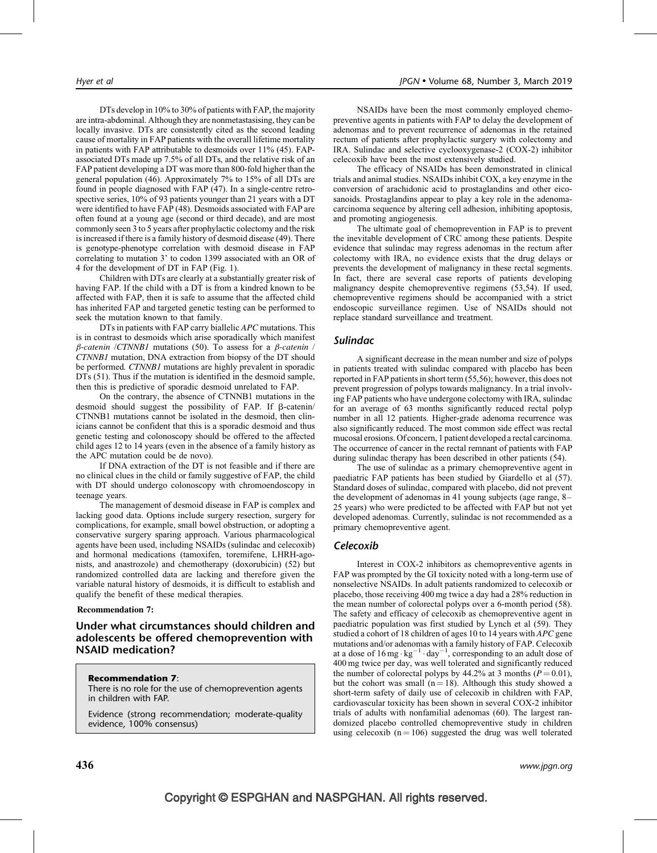DTs develop in 10% to 30% of patients with FAP, the majority are intra-abdominal. Although they are nonmetastasising, they can be locally invasive. DTs are consistently cited as the second leading cause of mortality in FAP patients with the overall lifetime mortality in patients with FAP attributable to desmoids over 11% (45). FAPassociated DTs made up 7.5% of all DTs, and the relative risk of an FAP patient developing a DT was more than 800-fold higher than the general population (46). Approximately 7% to 15% of all DTs are found in people diagnosed with FAP (47). In a single-centre retrospective series, 10% of 93 patients younger than 21 years with a DT were identified to have FAP (48). Desmoids associated with FAP are often found at a young age (second or third decade), and are most commonly seen 3 to 5 years after prophylactic colectomy and the risk is increased if there is a family history of desmoid disease (49). There is genotype-phenotype correlation with desmoid disease in FAP correlating to mutation 3' to codon 1399 associated with an OR of 4 for the development of DT in FAP (Fig. 1).

Children with DTs are clearly at a substantially greater risk of having FAP. If the child with a DT is from a kindred known to be affected with FAP, then it is safe to assume that the affected child has inherited FAP and targeted genetic testing can be performed to seek the mutation known to that family.

DTs in patients with FAP carry biallelic *APC* mutations. This is in contrast to desmoids which arise sporadically which manifest  $\beta$ -catenin /CTNNB1 mutations (50). To assess for a  $\beta$ -catenin / CTNNB1 mutation, DNA extraction from biopsy of the DT should be performed. CTNNB1 mutations are highly prevalent in sporadic DTs (51). Thus if the mutation is identified in the desmoid sample, then this is predictive of sporadic desmoid unrelated to FAP.

On the contrary, the absence of CTNNB1 mutations in the desmoid should suggest the possibility of FAP. If  $\beta$ -catenin/ CTNNB1 mutations cannot be isolated in the desmoid, then clinicians cannot be confident that this is a sporadic desmoid and thus genetic testing and colonoscopy should be offered to the affected child ages 12 to 14 years (even in the absence of a family history as the APC mutation could be de novo).

If DNA extraction of the DT is not feasible and if there are no clinical clues in the child or family suggestive of FAP, the child with DT should undergo colonoscopy with chromoendoscopy in teenage years.

The management of desmoid disease in FAP is complex and lacking good data. Options include surgery resection, surgery for complications, for example, small bowel obstruction, or adopting a conservative surgery sparing approach. Various pharmacological agents have been used, including NSAIDs (sulindac and celecoxib) and hormonal medications (tamoxifen, toremifene, LHRH-agonists, and anastrozole) and chemotherapy (doxorubicin) (52) but randomized controlled data are lacking and therefore given the variable natural history of desmoids, it is difficult to establish and qualify the benefit of these medical therapies.

## Recommendation 7:

# Under what circumstances should children and adolescents be offered chemoprevention with NSAID medication?

## Recommendation 7:

There is no role for the use of chemoprevention agents in children with FAP.

Evidence (strong recommendation; moderate-quality evidence, 100% consensus)

NSAIDs have been the most commonly employed chemopreventive agents in patients with FAP to delay the development of adenomas and to prevent recurrence of adenomas in the retained rectum of patients after prophylactic surgery with colectomy and IRA. Sulindac and selective cyclooxygenase-2 (COX-2) inhibitor celecoxib have been the most extensively studied.

The efficacy of NSAIDs has been demonstrated in clinical trials and animal studies. NSAIDs inhibit COX, a key enzyme in the conversion of arachidonic acid to prostaglandins and other eicosanoids. Prostaglandins appear to play a key role in the adenomacarcinoma sequence by altering cell adhesion, inhibiting apoptosis, and promoting angiogenesis.

The ultimate goal of chemoprevention in FAP is to prevent the inevitable development of CRC among these patients. Despite evidence that sulindac may regress adenomas in the rectum after colectomy with IRA, no evidence exists that the drug delays or prevents the development of malignancy in these rectal segments. In fact, there are several case reports of patients developing malignancy despite chemopreventive regimens (53,54). If used, chemopreventive regimens should be accompanied with a strict endoscopic surveillance regimen. Use of NSAIDs should not replace standard surveillance and treatment.

# Sulindac

A significant decrease in the mean number and size of polyps in patients treated with sulindac compared with placebo has been reported in FAP patients in short term (55,56); however, this does not prevent progression of polyps towards malignancy. In a trial involving FAP patients who have undergone colectomy with IRA, sulindac for an average of 63 months significantly reduced rectal polyp number in all 12 patients. Higher-grade adenoma recurrence was also significantly reduced. The most common side effect was rectal mucosal erosions. Of concern, 1 patient developed a rectal carcinoma. The occurrence of cancer in the rectal remnant of patients with FAP during sulindac therapy has been described in other patients (54).

The use of sulindac as a primary chemopreventive agent in paediatric FAP patients has been studied by Giardello et al (57). Standard doses of sulindac, compared with placebo, did not prevent the development of adenomas in 41 young subjects (age range, 8– 25 years) who were predicted to be affected with FAP but not yet developed adenomas. Currently, sulindac is not recommended as a primary chemopreventive agent.

## **Celecoxib**

Interest in COX-2 inhibitors as chemopreventive agents in FAP was prompted by the GI toxicity noted with a long-term use of nonselective NSAIDs. In adult patients randomized to celecoxib or placebo, those receiving 400 mg twice a day had a 28% reduction in the mean number of colorectal polyps over a 6-month period (58). The safety and efficacy of celecoxib as chemopreventive agent in paediatric population was first studied by Lynch et al (59). They studied a cohort of 18 children of ages 10 to 14 years with APC gene mutations and/or adenomas with a family history of FAP. Celecoxib at a dose of  $16 \text{ mg} \cdot \text{kg}^{-1} \cdot \text{day}^{-1}$ , corresponding to an adult dose of 400 mg twice per day, was well tolerated and significantly reduced the number of colorectal polyps by 44.2% at 3 months ( $P = 0.01$ ), but the cohort was small ( $n = 18$ ). Although this study showed a short-term safety of daily use of celecoxib in children with FAP, cardiovascular toxicity has been shown in several COX-2 inhibitor trials of adults with nonfamilial adenomas (60). The largest randomized placebo controlled chemopreventive study in children using celecoxib  $(n = 106)$  suggested the drug was well tolerated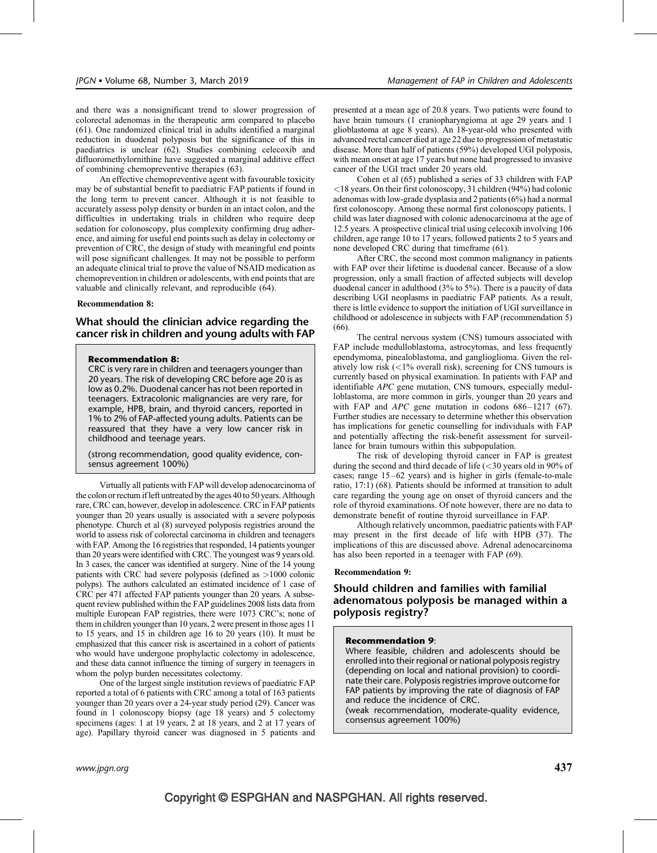and there was a nonsignificant trend to slower progression of colorectal adenomas in the therapeutic arm compared to placebo (61). One randomized clinical trial in adults identified a marginal reduction in duodenal polyposis but the significance of this in paediatrics is unclear (62). Studies combining celecoxib and difluoromethylornithine have suggested a marginal additive effect of combining chemopreventive therapies (63).

An effective chemopreventive agent with favourable toxicity may be of substantial benefit to paediatric FAP patients if found in the long term to prevent cancer. Although it is not feasible to accurately assess polyp density or burden in an intact colon, and the difficulties in undertaking trials in children who require deep sedation for colonoscopy, plus complexity confirming drug adherence, and aiming for useful end points such as delay in colectomy or prevention of CRC, the design of study with meaningful end points will pose significant challenges. It may not be possible to perform an adequate clinical trial to prove the value of NSAID medication as chemoprevention in children or adolescents, with end points that are valuable and clinically relevant, and reproducible (64).

## Recommendation 8:

# What should the clinician advice regarding the cancer risk in children and young adults with FAP

#### Recommendation 8:

CRC is very rare in children and teenagers younger than 20 years. The risk of developing CRC before age 20 is as low as 0.2%. Duodenal cancer has not been reported in teenagers. Extracolonic malignancies are very rare, for example, HPB, brain, and thyroid cancers, reported in 1% to 2% of FAP-affected young adults. Patients can be reassured that they have a very low cancer risk in childhood and teenage years.

(strong recommendation, good quality evidence, consensus agreement 100%)

Virtually all patients with FAP will develop adenocarcinoma of the colon or rectum if left untreated by the ages 40 to 50 years. Although rare, CRC can, however, develop in adolescence. CRC in FAP patients younger than 20 years usually is associated with a severe polyposis phenotype. Church et al (8) surveyed polyposis registries around the world to assess risk of colorectal carcinoma in children and teenagers with FAP. Among the 16 registries that responded, 14 patients younger than 20 years were identified with CRC. The youngest was 9 years old. In 3 cases, the cancer was identified at surgery. Nine of the 14 young patients with CRC had severe polyposis (defined as >1000 colonic polyps). The authors calculated an estimated incidence of 1 case of CRC per 471 affected FAP patients younger than 20 years. A subsequent review published within the FAP guidelines 2008 lists data from multiple European FAP registries, there were 1073 CRC's; none of them in children younger than 10 years, 2 were present in those ages 11 to 15 years, and 15 in children age 16 to 20 years (10). It must be emphasized that this cancer risk is ascertained in a cohort of patients who would have undergone prophylactic colectomy in adolescence, and these data cannot influence the timing of surgery in teenagers in whom the polyp burden necessitates colectomy.

One of the largest single institution reviews of paediatric FAP reported a total of 6 patients with CRC among a total of 163 patients younger than 20 years over a 24-year study period (29). Cancer was found in 1 colonoscopy biopsy (age 18 years) and 5 colectomy specimens (ages: 1 at 19 years, 2 at 18 years, and 2 at 17 years of age). Papillary thyroid cancer was diagnosed in 5 patients and presented at a mean age of 20.8 years. Two patients were found to have brain tumours (1 craniopharyngioma at age 29 years and 1 glioblastoma at age 8 years). An 18-year-old who presented with advanced rectal cancer died at age 22 due to progression of metastatic disease. More than half of patients (59%) developed UGI polyposis, with mean onset at age 17 years but none had progressed to invasive cancer of the UGI tract under 20 years old.

Cohen et al (65) published a series of 33 children with FAP <18 years. On their first colonoscopy, 31 children (94%) had colonic adenomas with low-grade dysplasia and 2 patients (6%) had a normal first colonoscopy. Among these normal first colonoscopy patients, 1 child was later diagnosed with colonic adenocarcinoma at the age of 12.5 years. A prospective clinical trial using celecoxib involving 106 children, age range 10 to 17 years, followed patients 2 to 5 years and none developed CRC during that timeframe (61).

After CRC, the second most common malignancy in patients with FAP over their lifetime is duodenal cancer. Because of a slow progression, only a small fraction of affected subjects will develop duodenal cancer in adulthood (3% to 5%). There is a paucity of data describing UGI neoplasms in paediatric FAP patients. As a result, there is little evidence to support the initiation of UGI surveillance in childhood or adolescence in subjects with FAP (recommendation 5) (66).

The central nervous system (CNS) tumours associated with FAP include medulloblastoma, astrocytomas, and less frequently ependymoma, pinealoblastoma, and ganglioglioma. Given the relatively low risk  $\left($  < 1% overall risk), screening for CNS tumours is currently based on physical examination. In patients with FAP and identifiable APC gene mutation, CNS tumours, especially medulloblastoma, are more common in girls, younger than 20 years and with FAP and *APC* gene mutation in codons 686–1217 (67). Further studies are necessary to determine whether this observation has implications for genetic counselling for individuals with FAP and potentially affecting the risk-benefit assessment for surveillance for brain tumours within this subpopulation.

The risk of developing thyroid cancer in FAP is greatest during the second and third decade of life (<30 years old in 90% of cases; range 15–62 years) and is higher in girls (female-to-male ratio, 17:1) (68). Patients should be informed at transition to adult care regarding the young age on onset of thyroid cancers and the role of thyroid examinations. Of note however, there are no data to demonstrate benefit of routine thyroid surveillance in FAP.

Although relatively uncommon, paediatric patients with FAP may present in the first decade of life with HPB (37). The implications of this are discussed above. Adrenal adenocarcinoma has also been reported in a teenager with FAP (69).

#### Recommendation 9:

# Should children and families with familial adenomatous polyposis be managed within a polyposis registry?

## Recommendation 9:

Where feasible, children and adolescents should be enrolled into their regional or national polyposis registry (depending on local and national provision) to coordinate their care. Polyposis registries improve outcome for FAP patients by improving the rate of diagnosis of FAP and reduce the incidence of CRC.

(weak recommendation, moderate-quality evidence, consensus agreement 100%)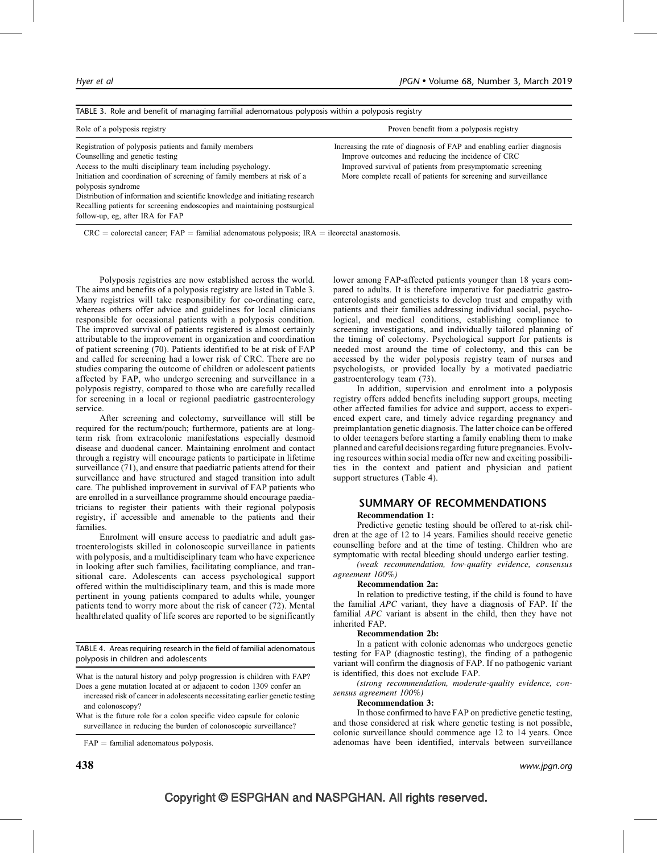| TABLE 5. NOTE and benefit of managing familiar adenomatous polyposis within a polyposis registry |                                                                        |  |
|--------------------------------------------------------------------------------------------------|------------------------------------------------------------------------|--|
| Role of a polyposis registry                                                                     | Proven benefit from a polyposis registry                               |  |
| Registration of polyposis patients and family members                                            | Increasing the rate of diagnosis of FAP and enabling earlier diagnosis |  |
| Counselling and genetic testing                                                                  | Improve outcomes and reducing the incidence of CRC                     |  |
| Access to the multi disciplinary team including psychology.                                      | Improved survival of patients from presymptomatic screening            |  |
| Initiation and coordination of screening of family members at risk of a                          | More complete recall of patients for screening and surveillance        |  |
| polyposis syndrome                                                                               |                                                                        |  |
| Distribution of information and scientific knowledge and initiating research                     |                                                                        |  |
| Recalling patients for screening endoscopies and maintaining postsurgical                        |                                                                        |  |
| follow-up, eg, after IRA for FAP                                                                 |                                                                        |  |

 $CRC =$  colorectal cancer;  $FAP =$  familial adenomatous polyposis; IRA = ileorectal anastomosis.

 $TADIF$  3. Role and benefit of managing familial adenomatous polyposis within

Polyposis registries are now established across the world. The aims and benefits of a polyposis registry are listed in Table 3. Many registries will take responsibility for co-ordinating care, whereas others offer advice and guidelines for local clinicians responsible for occasional patients with a polyposis condition. The improved survival of patients registered is almost certainly attributable to the improvement in organization and coordination of patient screening (70). Patients identified to be at risk of FAP and called for screening had a lower risk of CRC. There are no studies comparing the outcome of children or adolescent patients affected by FAP, who undergo screening and surveillance in a polyposis registry, compared to those who are carefully recalled for screening in a local or regional paediatric gastroenterology service.

After screening and colectomy, surveillance will still be required for the rectum/pouch; furthermore, patients are at longterm risk from extracolonic manifestations especially desmoid disease and duodenal cancer. Maintaining enrolment and contact through a registry will encourage patients to participate in lifetime surveillance  $(71)$ , and ensure that paediatric patients attend for their surveillance and have structured and staged transition into adult care. The published improvement in survival of FAP patients who are enrolled in a surveillance programme should encourage paediatricians to register their patients with their regional polyposis registry, if accessible and amenable to the patients and their families.

Enrolment will ensure access to paediatric and adult gastroenterologists skilled in colonoscopic surveillance in patients with polyposis, and a multidisciplinary team who have experience in looking after such families, facilitating compliance, and transitional care. Adolescents can access psychological support offered within the multidisciplinary team, and this is made more pertinent in young patients compared to adults while, younger patients tend to worry more about the risk of cancer (72). Mental healthrelated quality of life scores are reported to be significantly

TABLE 4. Areas requiring research in the field of familial adenomatous polyposis in children and adolescents

What is the natural history and polyp progression is children with FAP?

Does a gene mutation located at or adjacent to codon 1309 confer an increased risk of cancer in adolescents necessitating earlier genetic testing and colonoscopy?

What is the future role for a colon specific video capsule for colonic surveillance in reducing the burden of colonoscopic surveillance?

 $FAP =$  familial adenomatous polyposis.

lower among FAP-affected patients younger than 18 years compared to adults. It is therefore imperative for paediatric gastroenterologists and geneticists to develop trust and empathy with patients and their families addressing individual social, psychological, and medical conditions, establishing compliance to screening investigations, and individually tailored planning of the timing of colectomy. Psychological support for patients is needed most around the time of colectomy, and this can be accessed by the wider polyposis registry team of nurses and psychologists, or provided locally by a motivated paediatric gastroenterology team (73).

In addition, supervision and enrolment into a polyposis registry offers added benefits including support groups, meeting other affected families for advice and support, access to experienced expert care, and timely advice regarding pregnancy and preimplantation genetic diagnosis. The latter choice can be offered to older teenagers before starting a family enabling them to make planned and careful decisions regarding future pregnancies. Evolving resources within social media offer new and exciting possibilities in the context and patient and physician and patient support structures (Table 4).

# SUMMARY OF RECOMMENDATIONS Recommendation 1:

Predictive genetic testing should be offered to at-risk children at the age of 12 to 14 years. Families should receive genetic counselling before and at the time of testing. Children who are symptomatic with rectal bleeding should undergo earlier testing.

(weak recommendation, low-quality evidence, consensus agreement 100%)

#### Recommendation 2a:

In relation to predictive testing, if the child is found to have the familial APC variant, they have a diagnosis of FAP. If the familial APC variant is absent in the child, then they have not inherited FAP.

#### Recommendation 2b:

In a patient with colonic adenomas who undergoes genetic testing for FAP (diagnostic testing), the finding of a pathogenic variant will confirm the diagnosis of FAP. If no pathogenic variant is identified, this does not exclude FAP.

(strong recommendation, moderate-quality evidence, consensus agreement 100%)

## Recommendation 3:

In those confirmed to have FAP on predictive genetic testing, and those considered at risk where genetic testing is not possible, colonic surveillance should commence age 12 to 14 years. Once adenomas have been identified, intervals between surveillance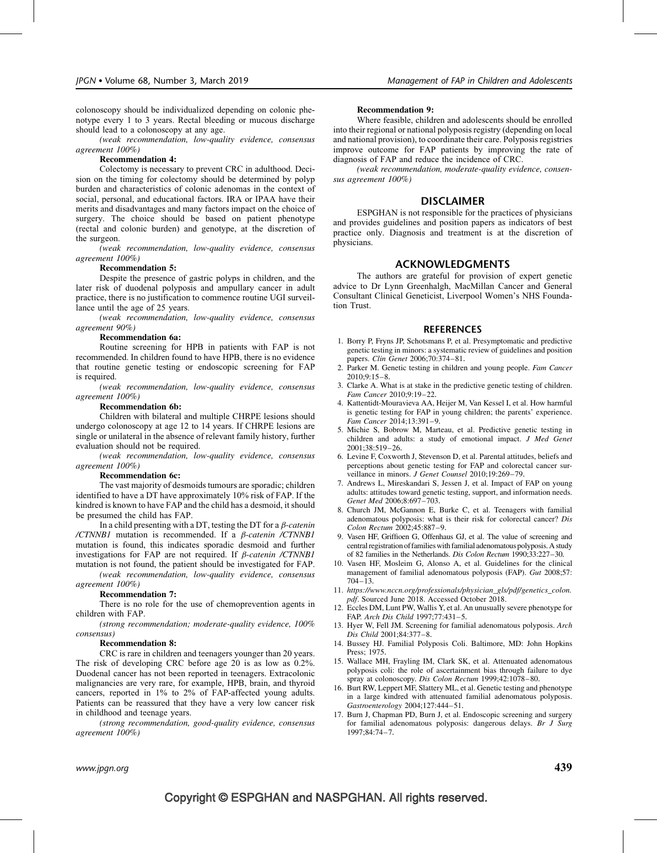colonoscopy should be individualized depending on colonic phenotype every 1 to 3 years. Rectal bleeding or mucous discharge should lead to a colonoscopy at any age.

(weak recommendation, low-quality evidence, consensus agreement 100%)

## Recommendation 4:

Colectomy is necessary to prevent CRC in adulthood. Decision on the timing for colectomy should be determined by polyp burden and characteristics of colonic adenomas in the context of social, personal, and educational factors. IRA or IPAA have their merits and disadvantages and many factors impact on the choice of surgery. The choice should be based on patient phenotype (rectal and colonic burden) and genotype, at the discretion of the surgeon.

(weak recommendation, low-quality evidence, consensus agreement 100%)

#### Recommendation 5:

Despite the presence of gastric polyps in children, and the later risk of duodenal polyposis and ampullary cancer in adult practice, there is no justification to commence routine UGI surveillance until the age of 25 years.

(weak recommendation, low-quality evidence, consensus agreement 90%)

#### Recommendation 6a:

Routine screening for HPB in patients with FAP is not recommended. In children found to have HPB, there is no evidence that routine genetic testing or endoscopic screening for FAP is required.

(weak recommendation, low-quality evidence, consensus agreement 100%)

#### Recommendation 6b:

Children with bilateral and multiple CHRPE lesions should undergo colonoscopy at age 12 to 14 years. If CHRPE lesions are single or unilateral in the absence of relevant family history, further evaluation should not be required.

(weak recommendation, low-quality evidence, consensus agreement 100%)

#### Recommendation 6c:

The vast majority of desmoids tumours are sporadic; children identified to have a DT have approximately 10% risk of FAP. If the kindred is known to have FAP and the child has a desmoid, it should be presumed the child has FAP.

In a child presenting with a DT, testing the DT for a  $\beta$ -catenin /CTNNB1 mutation is recommended. If a  $\beta$ -catenin /CTNNB1 mutation is found, this indicates sporadic desmoid and further investigations for FAP are not required. If  $\beta$ -catenin /CTNNB1 mutation is not found, the patient should be investigated for FAP.

(weak recommendation, low-quality evidence, consensus agreement 100%)

#### Recommendation 7:

There is no role for the use of chemoprevention agents in children with FAP.

(strong recommendation; moderate-quality evidence, 100% consensus)

#### Recommendation 8:

CRC is rare in children and teenagers younger than 20 years. The risk of developing CRC before age 20 is as low as 0.2%. Duodenal cancer has not been reported in teenagers. Extracolonic malignancies are very rare, for example, HPB, brain, and thyroid cancers, reported in 1% to 2% of FAP-affected young adults. Patients can be reassured that they have a very low cancer risk in childhood and teenage years.

(strong recommendation, good-quality evidence, consensus agreement 100%)

#### Recommendation 9:

Where feasible, children and adolescents should be enrolled into their regional or national polyposis registry (depending on local and national provision), to coordinate their care. Polyposis registries improve outcome for FAP patients by improving the rate of diagnosis of FAP and reduce the incidence of CRC.

(weak recommendation, moderate-quality evidence, consensus agreement 100%)

## DISCLAIMER

ESPGHAN is not responsible for the practices of physicians and provides guidelines and position papers as indicators of best practice only. Diagnosis and treatment is at the discretion of physicians.

## ACKNOWLEDGMENTS

The authors are grateful for provision of expert genetic advice to Dr Lynn Greenhalgh, MacMillan Cancer and General Consultant Clinical Geneticist, Liverpool Women's NHS Foundation Trust.

#### **REFERENCES**

- 1. Borry P, Fryns JP, Schotsmans P, et al. Presymptomatic and predictive genetic testing in minors: a systematic review of guidelines and position papers. Clin Genet 2006;70:374–81.
- 2. Parker M. Genetic testing in children and young people. Fam Cancer 2010;9:15–8.
- 3. Clarke A. What is at stake in the predictive genetic testing of children. Fam Cancer 2010;9:19–22.
- 4. Kattentidt-Mouravieva AA, Heijer M, Van Kessel I, et al. How harmful is genetic testing for FAP in young children; the parents' experience. Fam Cancer 2014;13:391–9.
- 5. Michie S, Bobrow M, Marteau, et al. Predictive genetic testing in children and adults: a study of emotional impact. J Med Genet 2001;38:519–26.
- 6. Levine F, Coxworth J, Stevenson D, et al. Parental attitudes, beliefs and perceptions about genetic testing for FAP and colorectal cancer surveillance in minors. J Genet Counsel 2010;19:269–79.
- 7. Andrews L, Mireskandari S, Jessen J, et al. Impact of FAP on young adults: attitudes toward genetic testing, support, and information needs. Genet Med 2006;8:697–703.
- 8. Church JM, McGannon E, Burke C, et al. Teenagers with familial adenomatous polyposis: what is their risk for colorectal cancer? Dis Colon Rectum 2002;45:887–9.
- 9. Vasen HF, Griffioen G, Offenhaus GJ, et al. The value of screening and central registration of families with familial adenomatous polyposis. A study of 82 families in the Netherlands. Dis Colon Rectum 1990;33:227–30.
- 10. Vasen HF, Mosleim G, Alonso A, et al. Guidelines for the clinical management of familial adenomatous polyposis (FAP). Gut 2008;57:  $704 - 13$ .
- 11. [https://www.nccn.org/professionals/physician\\_gls/pdf/genetics\\_colon.](https://www.nccn.org/professionals/physician_gls/pdf/genetics_colon.pdf) [pdf](https://www.nccn.org/professionals/physician_gls/pdf/genetics_colon.pdf). Sourced June 2018. Accessed October 2018.
- 12. Eccles DM, Lunt PW, Wallis Y, et al. An unusually severe phenotype for FAP. Arch Dis Child 1997;77:431–5.
- 13. Hyer W, Fell JM. Screening for familial adenomatous polyposis. Arch Dis Child 2001;84:377–8.
- 14. Bussey HJ. Familial Polyposis Coli. Baltimore, MD: John Hopkins Press; 1975.
- 15. Wallace MH, Frayling IM, Clark SK, et al. Attenuated adenomatous polyposis coli: the role of ascertainment bias through failure to dye spray at colonoscopy. Dis Colon Rectum 1999;42:1078–80.
- 16. Burt RW, Leppert MF, Slattery ML, et al. Genetic testing and phenotype in a large kindred with attenuated familial adenomatous polyposis. Gastroenterology 2004;127:444–51.
- 17. Burn J, Chapman PD, Burn J, et al. Endoscopic screening and surgery for familial adenomatous polyposis: dangerous delays. Br J Surg 1997;84:74–7.

# Copyright © ESPGHAN and NASPGHAN. All rights reserved.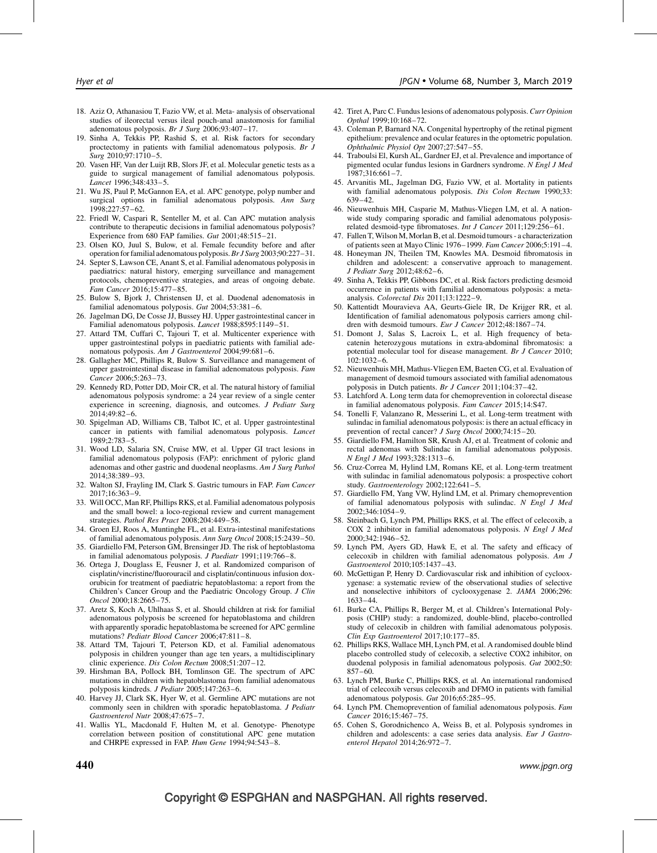- 18. Aziz O, Athanasiou T, Fazio VW, et al. Meta- analysis of observational studies of ileorectal versus ileal pouch-anal anastomosis for familial adenomatous polyposis. Br J Surg  $2006;93:407-17$ .
- 19. Sinha A, Tekkis PP, Rashid S, et al. Risk factors for secondary proctectomy in patients with familial adenomatous polyposis. Br  $J$ Surg 2010;97:1710–5.
- 20. Vasen HF, Van der Luijt RB, Slors JF, et al. Molecular genetic tests as a guide to surgical management of familial adenomatous polyposis. Lancet 1996;348:433–5.
- 21. Wu JS, Paul P, McGannon EA, et al. APC genotype, polyp number and surgical options in familial adenomatous polyposis. Ann Surg 1998;227:57–62.
- 22. Friedl W, Caspari R, Senteller M, et al. Can APC mutation analysis contribute to therapeutic decisions in familial adenomatous polyposis? Experience from 680 FAP families. Gut 2001;48:515–21.
- 23. Olsen KO, Juul S, Bulow, et al. Female fecundity before and after operation for familial adenomatous polyposis.Br J Surg 2003;90:227–31.
- 24. Septer S, Lawson CE, Anant S, et al. Familial adenomatous polyposis in paediatrics: natural history, emerging surveillance and management protocols, chemopreventive strategies, and areas of ongoing debate. Fam Cancer 2016;15:477–85.
- 25. Bulow S, Bjork J, Christensen IJ, et al. Duodenal adenomatosis in familial adenomatous polyposis. Gut 2004;53:381-6.
- 26. Jagelman DG, De Cosse JJ, Bussey HJ. Upper gastrointestinal cancer in Familial adenomatous polyposis. Lancet 1988;8595:1149–51.
- 27. Attard TM, Cuffari C, Tajouri T, et al. Multicenter experience with upper gastrointestinal polyps in paediatric patients with familial adenomatous polyposis. Am J Gastroenterol 2004;99:681–6.
- 28. Gallagher MC, Phillips R, Bulow S. Surveillance and management of upper gastrointestinal disease in familial adenomatous polyposis. Fam Cancer 2006;5:263–73.
- 29. Kennedy RD, Potter DD, Moir CR, et al. The natural history of familial adenomatous polyposis syndrome: a 24 year review of a single center experience in screening, diagnosis, and outcomes. J Pediatr Surg 2014;49:82–6.
- 30. Spigelman AD, Williams CB, Talbot IC, et al. Upper gastrointestinal cancer in patients with familial adenomatous polyposis. Lancet 1989;2:783–5.
- 31. Wood LD, Salaria SN, Cruise MW, et al. Upper GI tract lesions in familial adenomatous polyposis (FAP): enrichment of pyloric gland adenomas and other gastric and duodenal neoplasms. Am J Surg Pathol 2014;38:389–93.
- 32. Walton SJ, Frayling IM, Clark S. Gastric tumours in FAP. Fam Cancer 2017;16:363–9.
- 33. Will OCC, Man RF, Phillips RKS, et al. Familial adenomatous polyposis and the small bowel: a loco-regional review and current management strategies. Pathol Res Pract 2008;204:449–58.
- 34. Groen EJ, Roos A, Muntinghe FL, et al. Extra-intestinal manifestations of familial adenomatous polyposis. Ann Surg Oncol 2008;15:2439–50.
- 35. Giardiello FM, Peterson GM, Brensinger JD. The risk of heptoblastoma in familial adenomatous polyposis. J Paediatr 1991;119:766-8.
- 36. Ortega J, Douglass E, Feusner J, et al. Randomized comparison of cisplatin/vincristine/fluorouracil and cisplatin/continuous infusion doxorubicin for treatment of paediatric hepatoblastoma: a report from the Children's Cancer Group and the Paediatric Oncology Group. J Clin Oncol 2000;18:2665–75.
- 37. Aretz S, Koch A, Uhlhaas S, et al. Should children at risk for familial adenomatous polyposis be screened for hepatoblastoma and children with apparently sporadic hepatoblastoma be screened for APC germline mutations? Pediatr Blood Cancer 2006;47:811–8.
- 38. Attard TM, Tajouri T, Peterson KD, et al. Familial adenomatous polyposis in children younger than age ten years, a multidisciplinary clinic experience. Dis Colon Rectum 2008;51:207–12.
- 39. Hirshman BA, Pollock BH, Tomlinson GE. The spectrum of APC mutations in children with hepatoblastoma from familial adenomatous polyposis kindreds. J Pediatr 2005;147:263-6.
- 40. Harvey JJ, Clark SK, Hyer W, et al. Germline APC mutations are not commonly seen in children with sporadic hepatoblastoma. J Pediatr Gastroenterol Nutr 2008;47:675–7.
- 41. Wallis YL, Macdonald F, Hulten M, et al. Genotype- Phenotype correlation between position of constitutional APC gene mutation and CHRPE expressed in FAP. Hum Gene 1994;94:543–8.
- 42. Tiret A, Parc C. Fundus lesions of adenomatous polyposis. Curr Opinion Opthal 1999;10:168–72.
- 43. Coleman P, Barnard NA. Congenital hypertrophy of the retinal pigment epithelium: prevalence and ocular features in the optometric population. Ophthalmic Physiol Opt 2007;27:547–55.
- 44. Traboulsi El, Kursh AL, Gardner EJ, et al. Prevalence and importance of pigmented ocular fundus lesions in Gardners syndrome. N Engl J Med 1987;316:661–7.
- 45. Arvanitis ML, Jagelman DG, Fazio VW, et al. Mortality in patients with familial adenomatous polyposis. Dis Colon Rectum 1990;33: 639–42.
- 46. Nieuwenhuis MH, Casparie M, Mathus-Vliegen LM, et al. A nationwide study comparing sporadic and familial adenomatous polyposisrelated desmoid-type fibromatoses. Int J Cancer 2011;129:256–61.
- 47. Fallen T, Wilson M, Morlan B, et al. Desmoid tumours a characterization of patients seen at Mayo Clinic 1976–1999. Fam Cancer 2006;5:191–4.
- 48. Honeyman JN, Theilen TM, Knowles MA. Desmoid fibromatosis in children and adolescent: a conservative approach to management. J Pediatr Surg 2012;48:62–6.
- 49. Sinha A, Tekkis PP, Gibbons DC, et al. Risk factors predicting desmoid occurrence in patients with familial adenomatous polyposis: a metaanalysis. Colorectal Dis 2011;13:1222–9.
- 50. Kattentidt Mouravieva AA, Geurts-Giele IR, De Krijger RR, et al. Identification of familial adenomatous polyposis carriers among children with desmoid tumours. Eur J Cancer 2012;48:1867-74.
- 51. Domont J, Salas S, Lacroix L, et al. High frequency of betacatenin heterozygous mutations in extra-abdominal fibromatosis: a potential molecular tool for disease management. Br J Cancer 2010; 102:1032–6.
- 52. Nieuwenhuis MH, Mathus-Vliegen EM, Baeten CG, et al. Evaluation of management of desmoid tumours associated with familial adenomatous polyposis in Dutch patients. Br J Cancer 2011;104:37–42.
- 53. Latchford A. Long term data for chemoprevention in colorectal disease in familial adenomatous polyposis. Fam Cancer 2015;14:S47.
- 54. Tonelli F, Valanzano R, Messerini L, et al. Long-term treatment with sulindac in familial adenomatous polyposis: is there an actual efficacy in prevention of rectal cancer? J Surg Oncol 2000;74:15–20.
- 55. Giardiello FM, Hamilton SR, Krush AJ, et al. Treatment of colonic and rectal adenomas with Sulindac in familial adenomatous polyposis. N Engl J Med 1993;328:1313–6.
- 56. Cruz-Correa M, Hylind LM, Romans KE, et al. Long-term treatment with sulindac in familial adenomatous polyposis: a prospective cohort study. Gastroenterology 2002;122:641–5.
- 57. Giardiello FM, Yang VW, Hylind LM, et al. Primary chemoprevention of familial adenomatous polyposis with sulindac. N Engl J Med 2002;346:1054–9.
- 58. Steinbach G, Lynch PM, Phillips RKS, et al. The effect of celecoxib, a COX 2 inhibitor in familial adenomatous polyposis. N Engl J Med 2000;342:1946–52.
- 59. Lynch PM, Ayers GD, Hawk E, et al. The safety and efficacy of celecoxib in children with familial adenomatous polyposis. Am J Gastroenterol 2010;105:1437–43.
- 60. McGettigan P, Henry D. Cardiovascular risk and inhibition of cyclooxygenase: a systematic review of the observational studies of selective and nonselective inhibitors of cyclooxygenase 2. JAMA 2006;296: 1633–44.
- 61. Burke CA, Phillips R, Berger M, et al. Children's International Polyposis (CHIP) study: a randomized, double-blind, placebo-controlled study of celecoxib in children with familial adenomatous polyposis. Clin Exp Gastroenterol 2017;10:177–85.
- 62. Phillips RKS, Wallace MH, Lynch PM, et al. A randomised double blind placebo controlled study of celecoxib, a selective COX2 inhibitor, on duodenal polyposis in familial adenomatous polyposis. Gut 2002;50: 857–60.
- 63. Lynch PM, Burke C, Phillips RKS, et al. An international randomised trial of celecoxib versus celecoxib and DFMO in patients with familial adenomatous polyposis. Gut 2016;65:285–95.
- 64. Lynch PM. Chemoprevention of familial adenomatous polyposis. Fam Cancer 2016;15:467–75.
- 65. Cohen S, Gorodnichenco A, Weiss B, et al. Polyposis syndromes in children and adolescents: a case series data analysis. Eur J Gastroenterol Hepatol 2014;26:972–7.